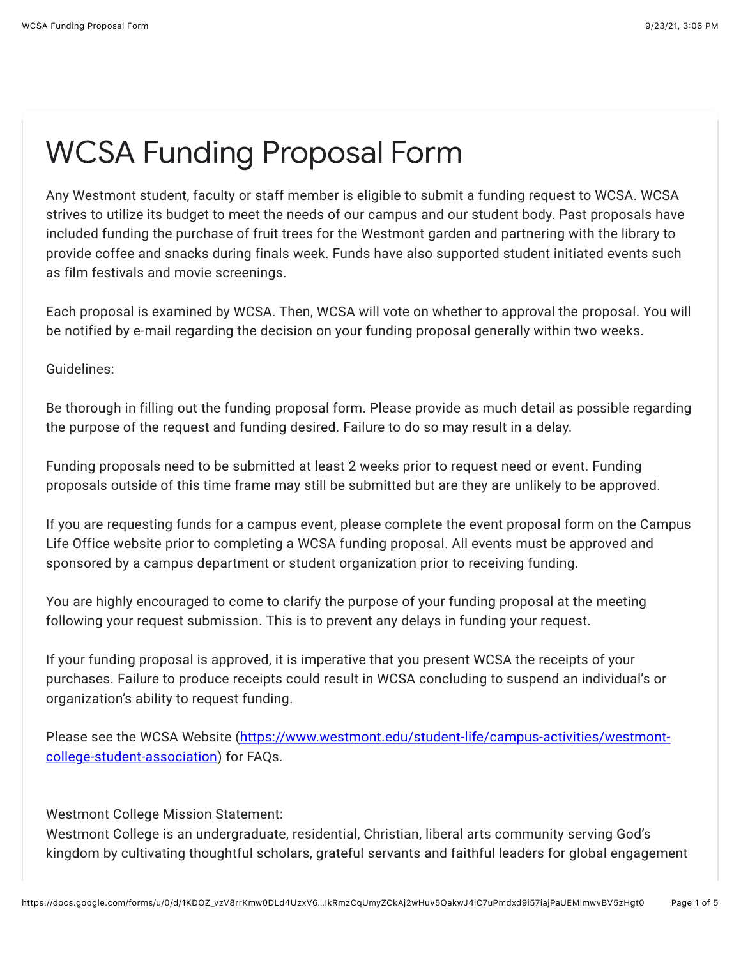## WCSA Funding Proposal Form

Any Westmont student, faculty or staff member is eligible to submit a funding request to WCSA. WCSA strives to utilize its budget to meet the needs of our campus and our student body. Past proposals have included funding the purchase of fruit trees for the Westmont garden and partnering with the library to provide coffee and snacks during finals week. Funds have also supported student initiated events such as film festivals and movie screenings.

Each proposal is examined by WCSA. Then, WCSA will vote on whether to approval the proposal. You will be notified by e-mail regarding the decision on your funding proposal generally within two weeks.

Guidelines:

Be thorough in filling out the funding proposal form. Please provide as much detail as possible regarding the purpose of the request and funding desired. Failure to do so may result in a delay.

Funding proposals need to be submitted at least 2 weeks prior to request need or event. Funding proposals outside of this time frame may still be submitted but are they are unlikely to be approved.

If you are requesting funds for a campus event, please complete the event proposal form on the Campus Life Office website prior to completing a WCSA funding proposal. All events must be approved and sponsored by a campus department or student organization prior to receiving funding.

You are highly encouraged to come to clarify the purpose of your funding proposal at the meeting following your request submission. This is to prevent any delays in funding your request.

If your funding proposal is approved, it is imperative that you present WCSA the receipts of your purchases. Failure to produce receipts could result in WCSA concluding to suspend an individual's or organization's ability to request funding.

[Please see the WCSA Website \(https://www.westmont.edu/student-life/campus-activities/westmont](https://www.google.com/url?q=https://www.westmont.edu/student-life/campus-activities/westmont-college-student-association&sa=D&source=editors&ust=1632438400835000&usg=AFQjCNE_WYuwErwAVxGhJkAmXKgOK-mqAg)college-student-association) for FAQs.

Westmont College Mission Statement:

Westmont College is an undergraduate, residential, Christian, liberal arts community serving God's kingdom by cultivating thoughtful scholars, grateful servants and faithful leaders for global engagement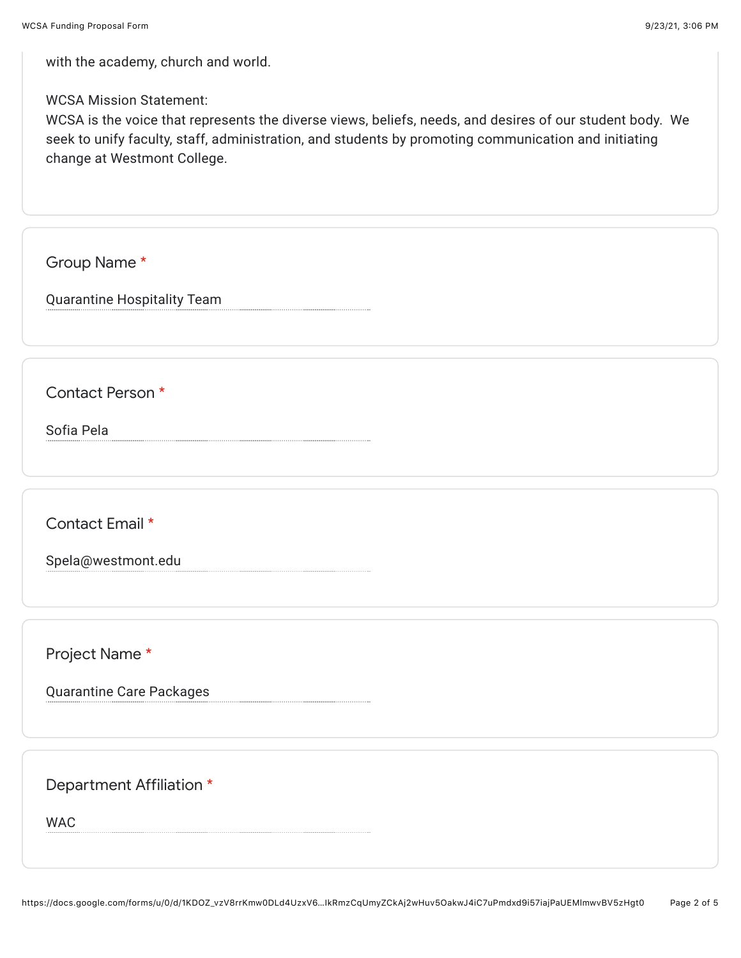with the academy, church and world.

WCSA Mission Statement:

WCSA is the voice that represents the diverse views, beliefs, needs, and desires of our student body. We seek to unify faculty, staff, administration, and students by promoting communication and initiating change at Westmont College.

Group Name \*

Quarantine Hospitality Team

Contact Person \*

Sofia Pela

Contact Email \*

Spela@westmont.edu

Project Name \*

Quarantine Care Packages

Department Affiliation \*

WAC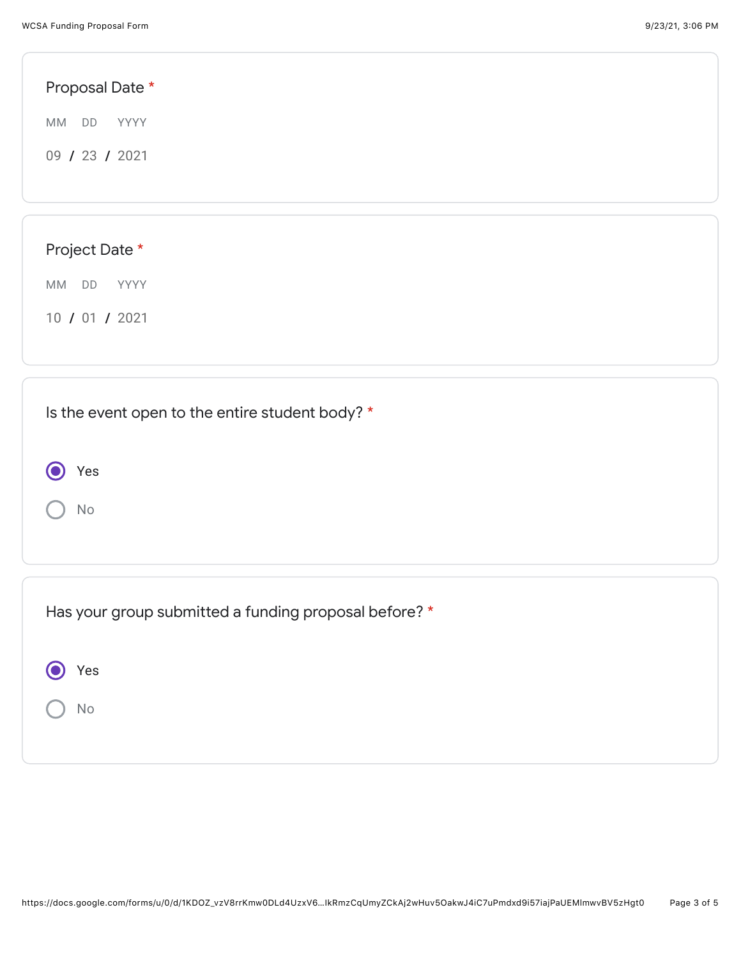| Proposal Date *                                 |  |
|-------------------------------------------------|--|
| MM DD<br>YYYY                                   |  |
| 09 / 23 / 2021                                  |  |
|                                                 |  |
|                                                 |  |
| Project Date *                                  |  |
| MM DD<br>YYYY                                   |  |
| 10 / 01 / 2021                                  |  |
|                                                 |  |
| Is the event open to the entire student body? * |  |

 $\bigcap$  No

 $\bigodot$ 

Yes

| Has your group submitted a funding proposal before? * |
|-------------------------------------------------------|
| Yes                                                   |
| No                                                    |
|                                                       |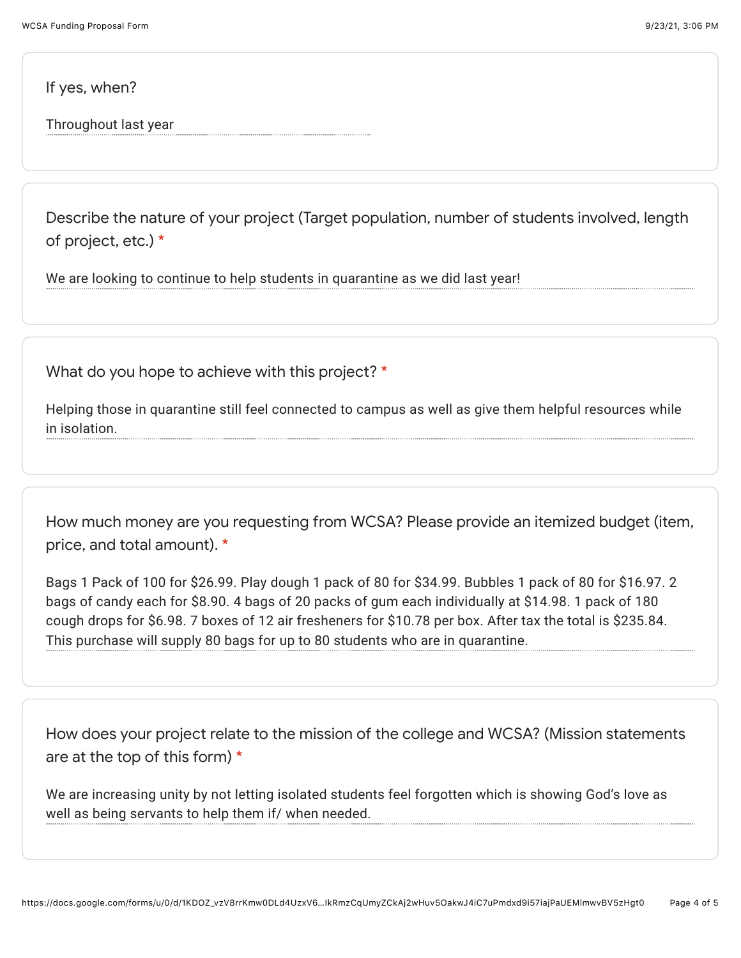If yes, when?

Throughout last year

Describe the nature of your project (Target population, number of students involved, length of project, etc.) \*

We are looking to continue to help students in quarantine as we did last year!

What do you hope to achieve with this project? \*

Helping those in quarantine still feel connected to campus as well as give them helpful resources while in isolation.

How much money are you requesting from WCSA? Please provide an itemized budget (item, price, and total amount). \*

Bags 1 Pack of 100 for \$26.99. Play dough 1 pack of 80 for \$34.99. Bubbles 1 pack of 80 for \$16.97. 2 bags of candy each for \$8.90. 4 bags of 20 packs of gum each individually at \$14.98. 1 pack of 180 cough drops for \$6.98. 7 boxes of 12 air fresheners for \$10.78 per box. After tax the total is \$235.84. This purchase will supply 80 bags for up to 80 students who are in quarantine.

How does your project relate to the mission of the college and WCSA? (Mission statements are at the top of this form) \*

We are increasing unity by not letting isolated students feel forgotten which is showing God's love as well as being servants to help them if/ when needed.